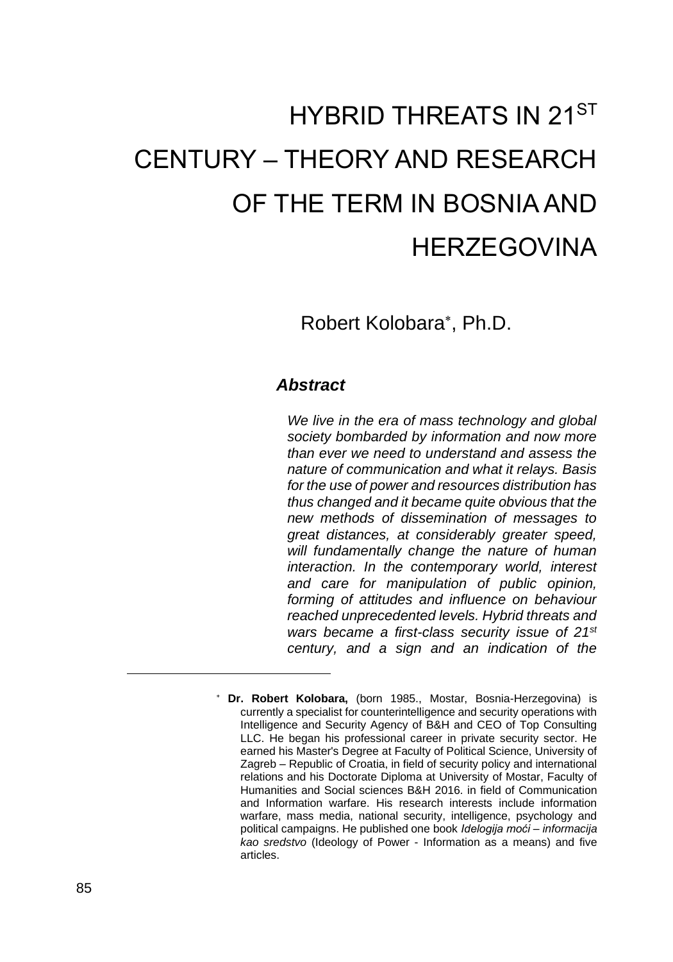# HYBRID THREATS IN 21ST CENTURY – THEORY AND RESEARCH OF THE TERM IN BOSNIA AND **HERZEGOVINA**

### Robert Kolobara , Ph.D.

#### *Abstract*

*We live in the era of mass technology and global society bombarded by information and now more than ever we need to understand and assess the nature of communication and what it relays. Basis for the use of power and resources distribution has thus changed and it became quite obvious that the new methods of dissemination of messages to great distances, at considerably greater speed, will fundamentally change the nature of human interaction. In the contemporary world, interest and care for manipulation of public opinion, forming of attitudes and influence on behaviour reached unprecedented levels. Hybrid threats and wars became a first-class security issue of 21st century, and a sign and an indication of the* 

**Dr. Robert Kolobara,** (born 1985., Mostar, Bosnia-Herzegovina) is currently a specialist for counterintelligence and security operations with Intelligence and Security Agency of B&H and CEO of Top Consulting LLC. He began his professional career in private security sector. He earned his Master's Degree at Faculty of Political Science, University of Zagreb – Republic of Croatia, in field of security policy and international relations and his Doctorate Diploma at University of Mostar, Faculty of Humanities and Social sciences B&H 2016. in field of Communication and Information warfare. His research interests include information warfare, mass media, national security, intelligence, psychology and political campaigns. He published one book *Idelogija moći – informacija kao sredstvo* (Ideology of Power - Information as a means) and five articles.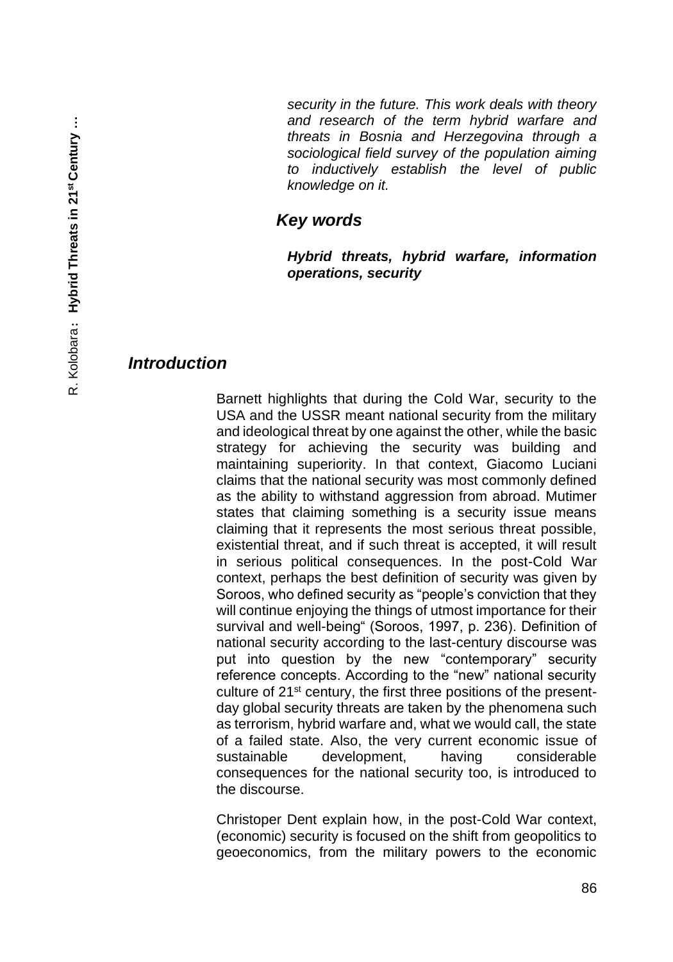*security in the future. This work deals with theory and research of the term hybrid warfare and threats in Bosnia and Herzegovina through a sociological field survey of the population aiming to inductively establish the level of public knowledge on it.* 

#### *Key words*

*Hybrid threats, hybrid warfare, information operations, security* 

#### *Introduction*

Barnett highlights that during the Cold War, security to the USA and the USSR meant national security from the military and ideological threat by one against the other, while the basic strategy for achieving the security was building and maintaining superiority. In that context, Giacomo Luciani claims that the national security was most commonly defined as the ability to withstand aggression from abroad. Mutimer states that claiming something is a security issue means claiming that it represents the most serious threat possible, existential threat, and if such threat is accepted, it will result in serious political consequences. In the post-Cold War context, perhaps the best definition of security was given by Soroos, who defined security as "people's conviction that they will continue enjoying the things of utmost importance for their survival and well-being" (Soroos, 1997, p. 236). Definition of national security according to the last-century discourse was put into question by the new "contemporary" security reference concepts. According to the "new" national security culture of 21st century, the first three positions of the presentday global security threats are taken by the phenomena such as terrorism, hybrid warfare and, what we would call, the state of a failed state. Also, the very current economic issue of sustainable development, having considerable consequences for the national security too, is introduced to the discourse.

Christoper Dent explain how, in the post-Cold War context, (economic) security is focused on the shift from geopolitics to geoeconomics, from the military powers to the economic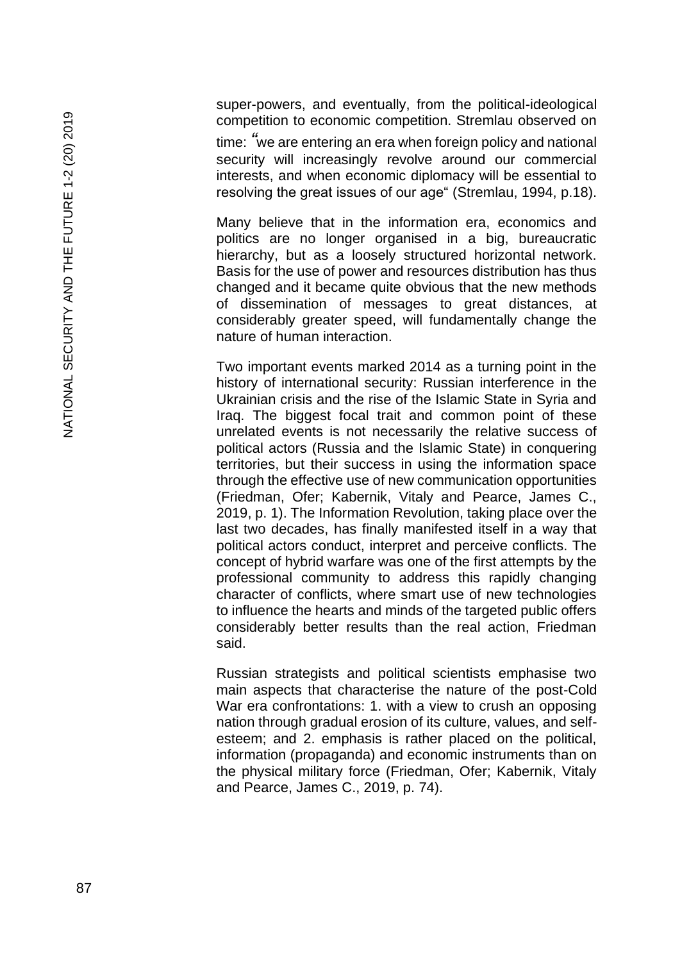super -powers, and eventually, from the political -ideological competition to economic competition. Stremlau observed on

time: *"*we are entering an era when foreign policy and national security will increasingly revolve around our commercial interests, and when economic diplomacy will be essential to resolving the great issues of our age" (Stremlau, 1994, p.18).

Many believe that in the information era, economics and politics are no longer organised in a big, bureaucratic hierarchy, but as a loosely structured horizontal network. Basis for the use of power and resources distribution has thus changed and it became quite obvious that the new methods of dissemination of messages to great distances, at considerably greater speed, will fundamentally change the nature of human interaction.

Two important events marked 2014 as a turning point in the history of international security: Russian interference in the Ukrainian crisis and the rise of the Islamic State in Syria and Iraq. The biggest focal trait and common point of these unrelated events is not necessarily the relative success of political actors (Russia and the Islamic State) in conquering territories, but their success in using the information space through the effective use of new communication opportunities (Friedman, Ofer; Kabernik, Vitaly and Pearce, James C., 2019, p. 1). The Information Revolution, taking place over the last two decades, has finally manifested itself in a way that political actors conduct, interpret and perceive conflicts. The concept of hybrid warfare was one of the first attempts by the professional community to address this rapidly changing character of conflicts, where smart use of new technologies to influence the hearts and minds of the targeted public offers considerably better results than the real action, Friedman said.

Russian strategists and political scientists emphasise two main aspects that characterise the nature of the post -Cold War era confrontations: 1. with a view to crush an opposing nation through gradual erosion of its culture, values, and self esteem; and 2. emphasis is rather placed on the political, information (propaganda) and economic instruments than on the physical military force (Friedman, Ofer; Kabernik, Vitaly and Pearce, James C., 2019, p. 74).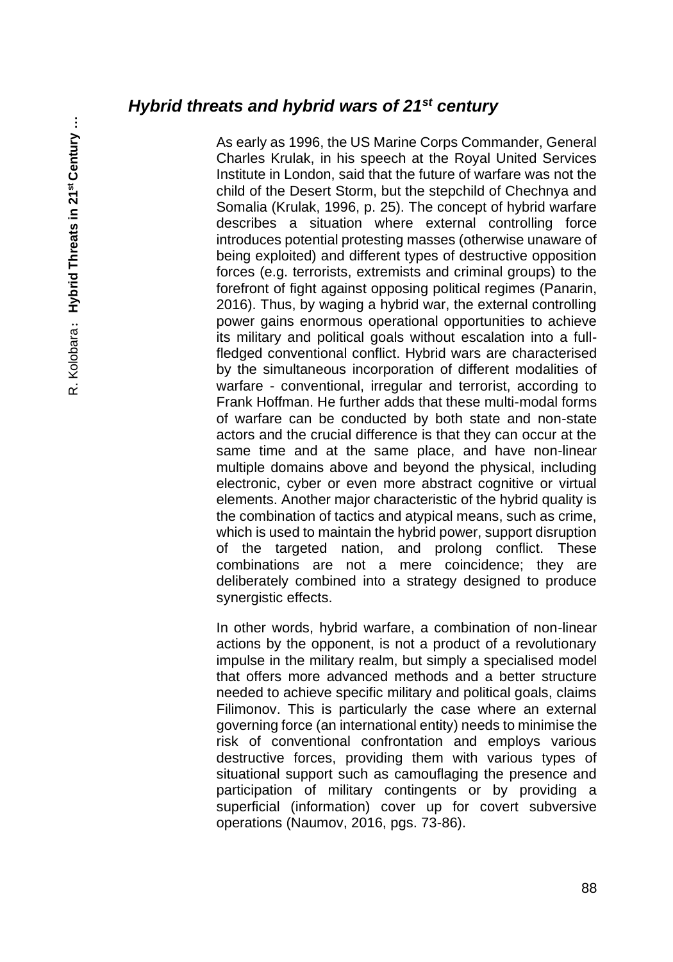#### *Hybrid threats and hybrid wars of 21st century*

As early as 1996, the US Marine Corps Commander, General Charles Krulak, in his speech at the Royal United Services Institute in London, said that the future of warfare was not the child of the Desert Storm, but the stepchild of Chechnya and Somalia (Krulak, 1996, p. 25). The concept of hybrid warfare describes a situation where external controlling force introduces potential protesting masses (otherwise unaware of being exploited) and different types of destructive opposition forces (e.g. terrorists, extremists and criminal groups) to the forefront of fight against opposing political regimes (Panarin, 2016). Thus, by waging a hybrid war, the external controlling power gains enormous operational opportunities to achieve its military and political goals without escalation into a fullfledged conventional conflict. Hybrid wars are characterised by the simultaneous incorporation of different modalities of warfare - conventional, irregular and terrorist, according to Frank Hoffman. He further adds that these multi-modal forms of warfare can be conducted by both state and non-state actors and the crucial difference is that they can occur at the same time and at the same place, and have non-linear multiple domains above and beyond the physical, including electronic, cyber or even more abstract cognitive or virtual elements. Another major characteristic of the hybrid quality is the combination of tactics and atypical means, such as crime, which is used to maintain the hybrid power, support disruption of the targeted nation, and prolong conflict. These combinations are not a mere coincidence; they are deliberately combined into a strategy designed to produce synergistic effects.

In other words, hybrid warfare, a combination of non-linear actions by the opponent, is not a product of a revolutionary impulse in the military realm, but simply a specialised model that offers more advanced methods and a better structure needed to achieve specific military and political goals, claims Filimonov. This is particularly the case where an external governing force (an international entity) needs to minimise the risk of conventional confrontation and employs various destructive forces, providing them with various types of situational support such as camouflaging the presence and participation of military contingents or by providing a superficial (information) cover up for covert subversive operations (Naumov, 2016, pgs. 73-86).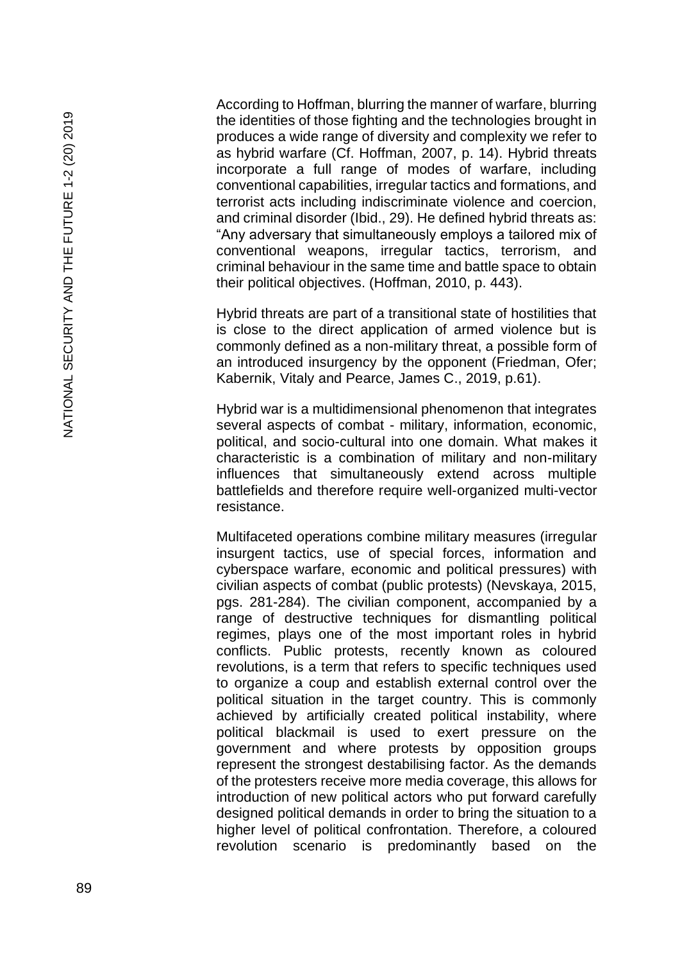According to Hoffman, blurring the manner of warfare, blurring the identities of those fighting and the technologies brought in produces a wide range of diversity and complexity we refer to as hybrid warfare (Cf. Hoffman, 2007, p. 14). Hybrid threats incorporate a full range of modes of warfare, including conventional capabilities, irregular tactics and formations, and terrorist acts including indiscriminate violence and coercion, and criminal disorder (Ibid., 29). He defined hybrid threats as: "Any adversary that simultaneously employs a tailored mix of conventional weapons, irregular tactics, terrorism, and criminal behaviour in the same time and battle space to obtain their political objectives. (Hoffman, 2010, p. 443).

Hybrid threats are part of a transitional state of hostilities that is close to the direct application of armed violence but is commonly defined as a non -military threat, a possible form of an introduced insurgency by the opponent (Friedman, Ofer; Kabernik, Vitaly and Pearce, James C., 2019, p.61).

Hybrid war is a multidimensional phenomenon that integrates several aspects of combat - military, information, economic, political, and socio -cultural into one domain. What makes it characteristic is a combination of military and non -military influences that simultaneously extend across multiple battlefields and therefore require well -organized multi -vector resistance.

Multifaceted operations combine military measures (irregular insurgent tactics, use of special forces, information and cyberspace warfare, economic and political pressures) with civilian aspects of combat (public protests) (Nevskaya, 2015, pgs. 281 -284). The civilian component, accompanied by a range of destructive techniques for dismantling political regimes, plays one of the most important roles in hybrid conflicts. Public protests, recently known as coloured revolutions, is a term that refers to specific techniques used to organize a coup and establish external control over the political situation in the target country. This is commonly achieved by artificially created political instability, where political blackmail is used to exert pressure on the government and where protests by opposition groups represent the strongest destabilising factor. As the demands of the protesters receive more media coverage, this allows for introduction of new political actors who put forward carefully designed political demands in order to bring the situation to a higher level of political confrontation. Therefore, a coloured revolution scenario is predominantly based on the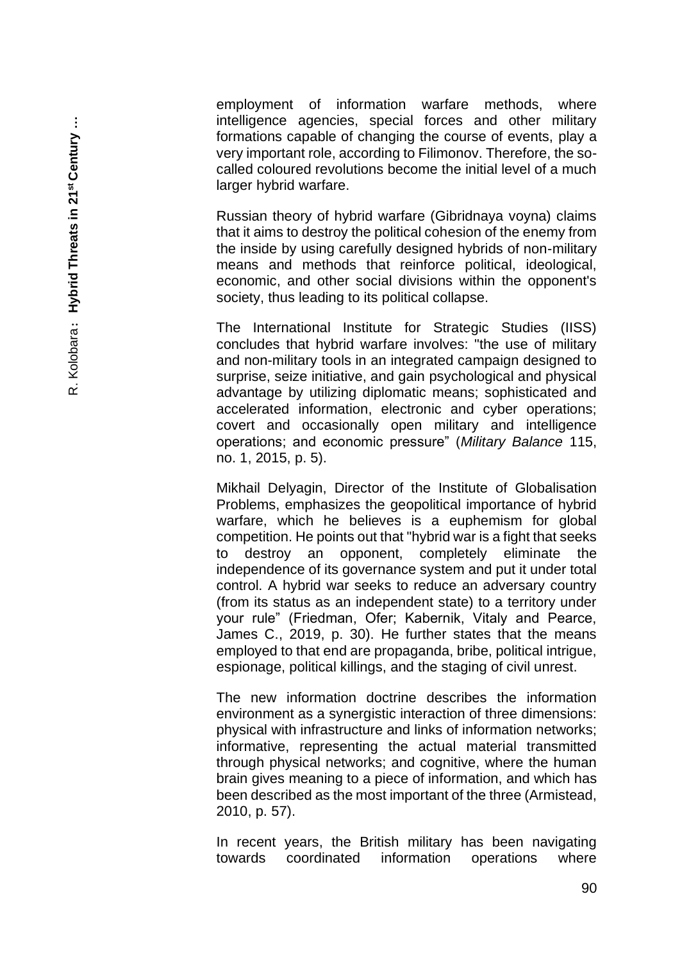employment of information warfare methods, where intelligence agencies, special forces and other military formations capable of changing the course of events, play a very important role, according to Filimonov. Therefore, the so called coloured revolutions become the initial level of a much larger hybrid warfare.

Russian theory of hybrid warfare (Gibridnaya voyna) claims that it aims to destroy the political cohesion of the enemy from the inside by using carefully designed hybrids of non -military means and methods that reinforce political, ideological, economic, and other social divisions within the opponent's society, thus leading to its political collapse.

The International Institute for Strategic Studies (IISS) concludes that hybrid warfare involves: "the use of military and non -military tools in an integrated campaign designed to surprise, seize initiative, and gain psychological and physical advantage by utilizing diplomatic means; sophisticated and accelerated information, electronic and cyber operations; covert and occasionally open military and intelligence operations; and economic pressure" (*Military Balance* 115, no. 1, 2015, p. 5).

Mikhail Delyagin, Director of the Institute of Globalisation Problems, emphasizes the geopolitical importance of hybrid warfare, which he believes is a euphemism for global competition. He points out that "hybrid war is a fight that seeks to destroy an opponent, completely eliminate the independence of its governance system and put it under total control. A hybrid war seeks to reduce an adversary country (from its status as an independent state) to a territory under your rule" (Friedman, Ofer; Kabernik, Vitaly and Pearce, James C., 2019, p. 30). He further states that the means employed to that end are propaganda, bribe, political intrigue, espionage, political killings, and the staging of civil unrest.

The new information doctrine describes the information environment as a synergistic interaction of three dimensions: physical with infrastructure and links of information networks; informative, representing the actual material transmitted through physical networks; and cognitive, where the human brain gives meaning to a piece of information, and which has been described as the most important of the three (Armistead, 2010, p. 57).

In recent years, the British military has been navigating towards coordinated information operations where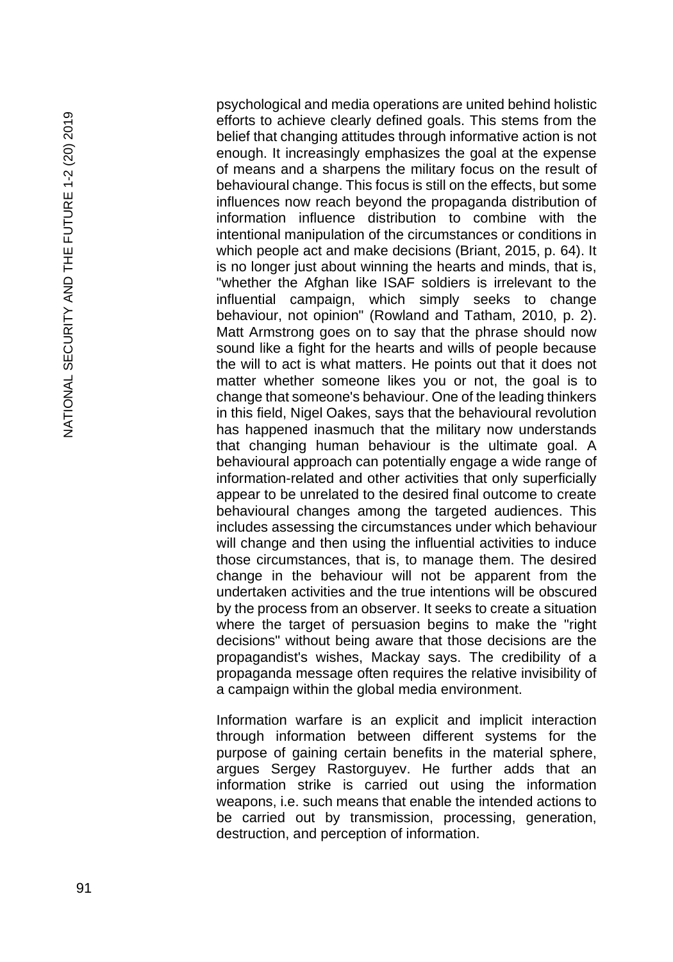psychological and media operations are united behind holistic efforts to achieve clearly defined goals. This stems from the belief that changing attitudes through informative action is not enough. It increasingly emphasizes the goal at the expense of means and a sharpens the military focus on the result of behavioural change. This focus is still on the effects, but some influences now reach beyond the propaganda distribution of information influence distribution to combine with the intentional manipulation of the circumstances or conditions in which people act and make decisions (Briant, 2015, p. 64). It is no longer just about winning the hearts and minds, that is, "whether the Afghan like ISAF soldiers is irrelevant to the influential campaign, which simply seeks to change behaviour, not opinion" (Rowland and Tatham, 2010, p. 2). Matt Armstrong goes on to say that the phrase should now sound like a fight for the hearts and wills of people because the will to act is what matters. He points out that it does not matter whether someone likes you or not, the goal is to change that someone's behaviour. One of the leading thinkers in this field, Nigel Oakes, says that the behavioural revolution has happened inasmuch that the military now understands that changing human behaviour is the ultimate goal. A behavioural approach can potentially engage a wide range of information -related and other activities that only superficially appear to be unrelated to the desired final outcome to create behavioural changes among the targeted audiences. This includes assessing the circumstances under which behaviour will change and then using the influential activities to induce those circumstances, that is, to manage them. The desired change in the behaviour will not be apparent from the undertaken activities and the true intentions will be obscured by the process from an observer. It seeks to create a situation where the target of persuasion begins to make the "right decisions" without being aware that those decisions are the propagandist's wishes, Mackay says. The credibility of a propaganda message often requires the relative invisibility of a campaign within the global media environment.

Information warfare is an explicit and implicit interaction through information between different systems for the purpose of gaining certain benefits in the material sphere, argues Sergey Rastorguyev. He further adds that an information strike is carried out using the information weapons, i.e. such means that enable the intended actions to be carried out by transmission, processing, generation, destruction, and perception of information.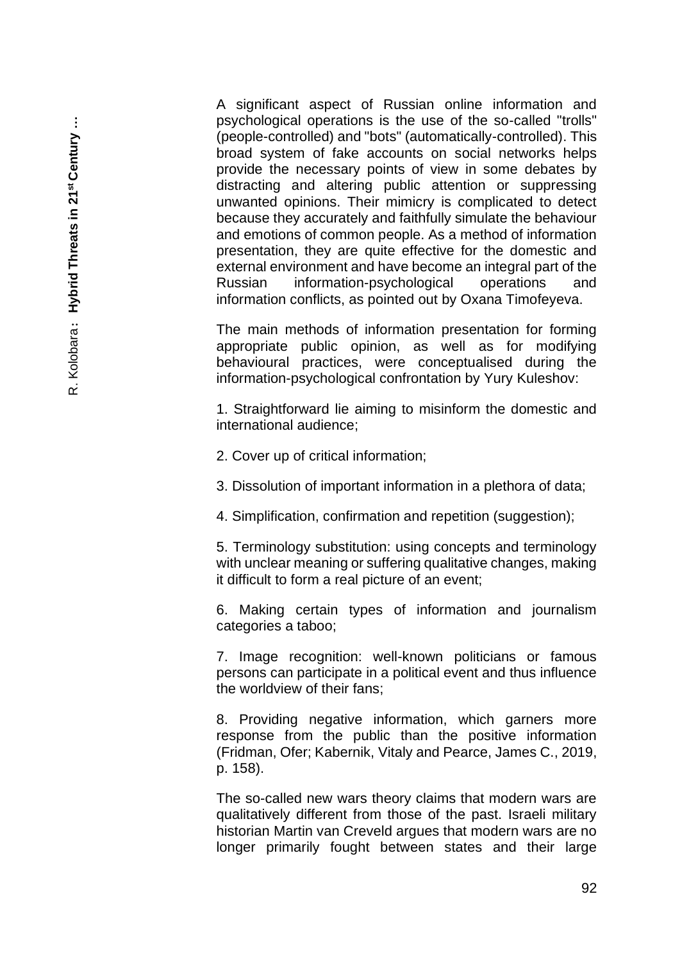A significant aspect of Russian online information and psychological operations is the use of the so-called "trolls" (people-controlled) and "bots" (automatically-controlled). This broad system of fake accounts on social networks helps provide the necessary points of view in some debates by distracting and altering public attention or suppressing unwanted opinions. Their mimicry is complicated to detect because they accurately and faithfully simulate the behaviour and emotions of common people. As a method of information presentation, they are quite effective for the domestic and external environment and have become an integral part of the Russian information-psychological operations and information conflicts, as pointed out by Oxana Timofeyeva.

The main methods of information presentation for forming appropriate public opinion, as well as for modifying behavioural practices, were conceptualised during the information-psychological confrontation by Yury Kuleshov:

1. Straightforward lie aiming to misinform the domestic and international audience;

2. Cover up of critical information;

3. Dissolution of important information in a plethora of data;

4. Simplification, confirmation and repetition (suggestion);

5. Terminology substitution: using concepts and terminology with unclear meaning or suffering qualitative changes, making it difficult to form a real picture of an event;

6. Making certain types of information and journalism categories a taboo;

7. Image recognition: well-known politicians or famous persons can participate in a political event and thus influence the worldview of their fans;

8. Providing negative information, which garners more response from the public than the positive information (Fridman, Ofer; Kabernik, Vitaly and Pearce, James C., 2019, p. 158).

The so-called new wars theory claims that modern wars are qualitatively different from those of the past. Israeli military historian Martin van Creveld argues that modern wars are no longer primarily fought between states and their large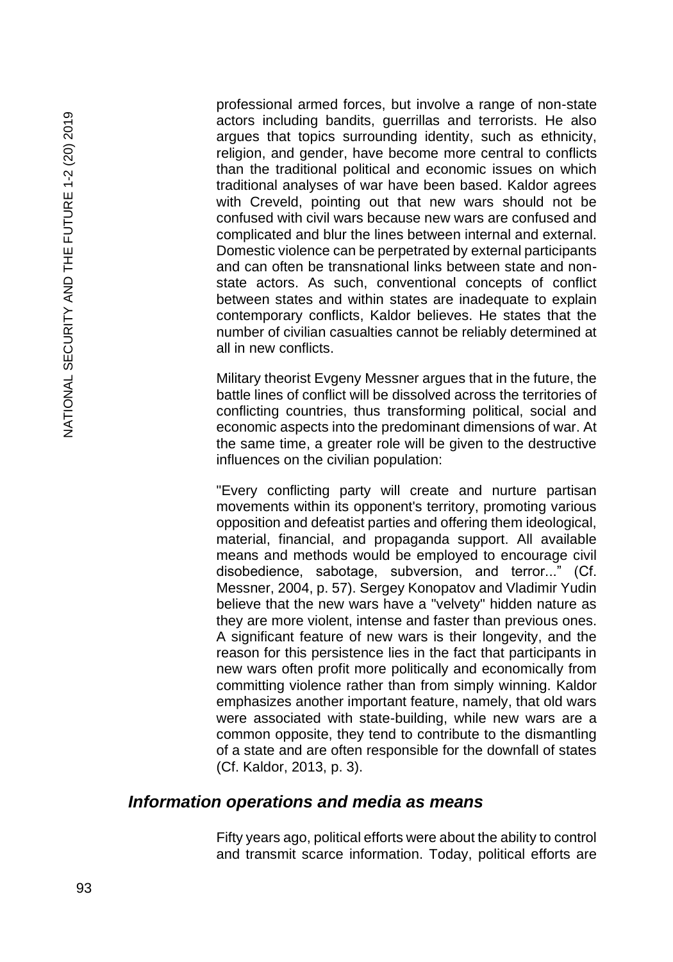professional armed forces, but involve a range of non-state actors including bandits, guerrillas and terrorists. He also argues that topics surrounding identity, such as ethnicity, religion, and gender, have become more central to conflicts than the traditional political and economic issues on which traditional analyses of war have been based. Kaldor agrees with Creveld, pointing out that new wars should not be confused with civil wars because new wars are confused and complicated and blur the lines between internal and external. Domestic violence can be perpetrated by external participants and can often be transnational links between state and nonstate actors. As such, conventional concepts of conflict between states and within states are inadequate to explain contemporary conflicts, Kaldor believes. He states that the number of civilian casualties cannot be reliably determined at all in new conflicts.

Military theorist Evgeny Messner argues that in the future, the battle lines of conflict will be dissolved across the territories of conflicting countries, thus transforming political, social and economic aspects into the predominant dimensions of war. At the same time, a greater role will be given to the destructive influences on the civilian population:

"Every conflicting party will create and nurture partisan movements within its opponent's territory, promoting various opposition and defeatist parties and offering them ideological, material, financial, and propaganda support. All available means and methods would be employed to encourage civil disobedience, sabotage, subversion, and terror..." (Cf. Messner, 2004, p. 57). Sergey Konopatov and Vladimir Yudin believe that the new wars have a "velvety" hidden nature as they are more violent, intense and faster than previous ones. A significant feature of new wars is their longevity, and the reason for this persistence lies in the fact that participants in new wars often profit more politically and economically from committing violence rather than from simply winning. Kaldor emphasizes another important feature, namely, that old wars were associated with state-building, while new wars are a common opposite, they tend to contribute to the dismantling of a state and are often responsible for the downfall of states (Cf. Kaldor, 2013, p. 3).

#### *Information operations and media as means*

Fifty years ago, political efforts were about the ability to control and transmit scarce information. Today, political efforts are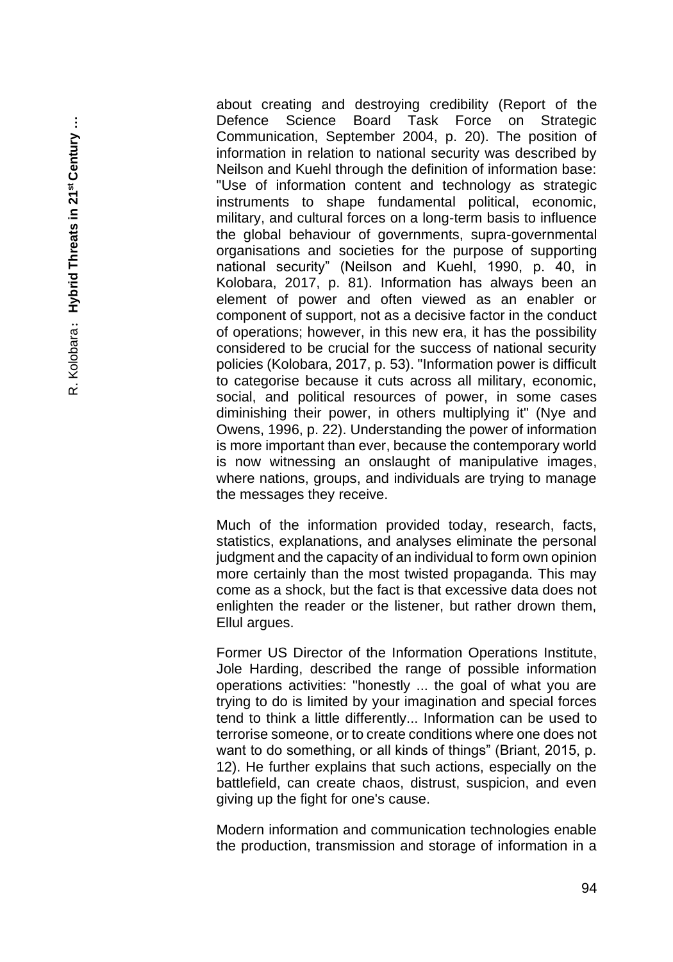about creating and destroying credibility (Report of the Defence Science Board Task Force on Strategic Communication, September 2004, p. 20). The position of information in relation to national security was described by Neilson and Kuehl through the definition of information base: "Use of information content and technology as strategic instruments to shape fundamental political, economic, military, and cultural forces on a long -term basis to influence the global behaviour of governments, supra -governmental organisations and societies for the purpose of supporting national security" (Neilson and Kuehl, 1990, p. 40, in Kolobara, 2017, p. 81). Information has always been an element of power and often viewed as an enabler or component of support, not as a decisive factor in the conduct of operations; however, in this new era, it has the possibility considered to be crucial for the success of national security policies (Kolobara, 2017, p. 53). "Information power is difficult to categorise because it cuts across all military, economic, social, and political resources of power, in some cases diminishing their power, in others multiplying it" (Nye and Owens, 1996, p. 22). Understanding the power of information is more important than ever, because the contemporary world is now witnessing an onslaught of manipulative images, where nations, groups, and individuals are trying to manage the messages they receive.

Much of the information provided today, research, facts, statistics, explanations, and analyses eliminate the personal judgment and the capacity of an individual to form own opinion more certainly than the most twisted propaganda. This may come as a shock, but the fact is that excessive data does not enlighten the reader or the listener, but rather drown them, Ellul argues.

Former US Director of the Information Operations Institute, Jole Harding, described the range of possible information operations activities: "honestly ... the goal of what you are trying to do is limited by your imagination and special forces tend to think a little differently... Information can be used to terrorise someone, or to create conditions where one does not want to do something, or all kinds of things" (Briant, 2015, p. 12). He further explains that such actions, especially on the battlefield, can create chaos, distrust, suspicion, and even giving up the fight for one's cause.

Modern information and communication technologies enable the production, transmission and storage of information in a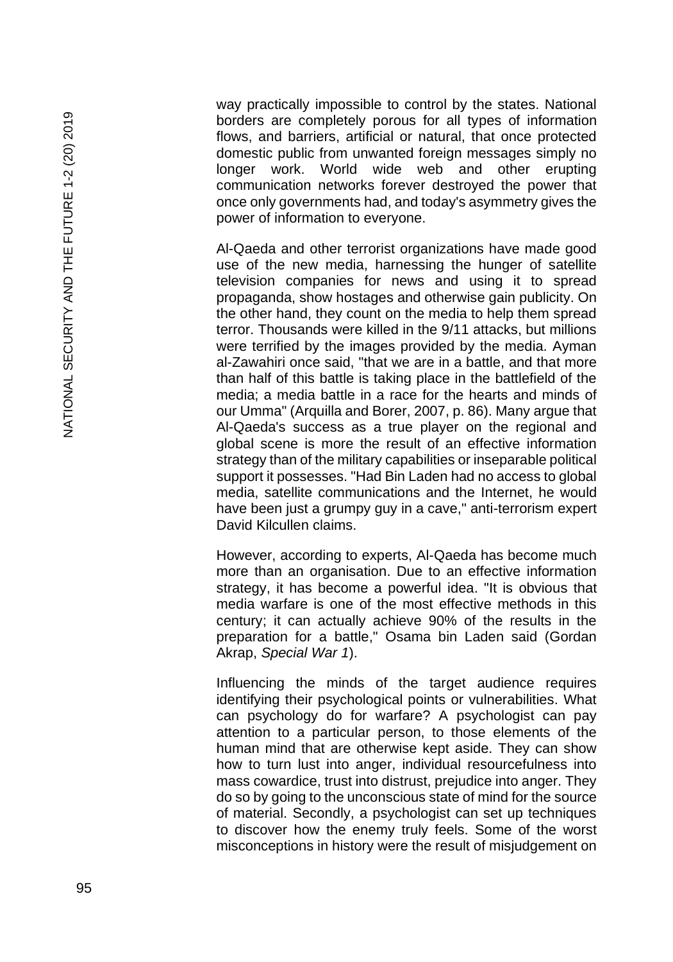way practically impossible to control by the states. National borders are completely porous for all types of information flows, and barriers, artificial or natural, that once protected domestic public from unwanted foreign messages simply no longer work. World wide web and other erupting communication networks forever destroyed the power that once only governments had, and today's asymmetry gives the power of information to everyone.

Al -Qaeda and other terrorist organizations have made good use of the new media, harnessing the hunger of satellite television companies for news and using it to spread propaganda, show hostages and otherwise gain publicity. On the other hand, they count on the media to help them spread terror. Thousands were killed in the 9/11 attacks, but millions were terrified by the images provided by the media. Ayman al -Zawahiri once said, "that we are in a battle, and that more than half of this battle is taking place in the battlefield of the media; a media battle in a race for the hearts and minds of our Umma" (Arquilla and Borer, 2007, p. 86). Many argue that Al -Qaeda's success as a true player on the regional and global scene is more the result of an effective information strategy than of the military capabilities or inseparable political support it possesses. "Had Bin Laden had no access to global media, satellite communications and the Internet, he would have been just a grumpy guy in a cave," anti -terrorism expert David Kilcullen claims.

However, according to experts, Al -Qaeda has become much more than an organisation. Due to an effective information strategy, it has become a powerful idea. "It is obvious that media warfare is one of the most effective methods in this century; it can actually achieve 90% of the results in the preparation for a battle," Osama bin Laden said (Gordan Akrap, *Special War 1*).

Influencing the minds of the target audience requires identifying their psychological points or vulnerabilities. What can psychology do for warfare? A psychologist can pay attention to a particular person, to those elements of the human mind that are otherwise kept aside. They can show how to turn lust into anger, individual resourcefulness into mass cowardice, trust into distrust, prejudice into anger. They do so by going to the unconscious state of mind for the source of material. Secondly, a psychologist can set up techniques to discover how the enemy truly feels. Some of the worst misconceptions in history were the result of misjudgement on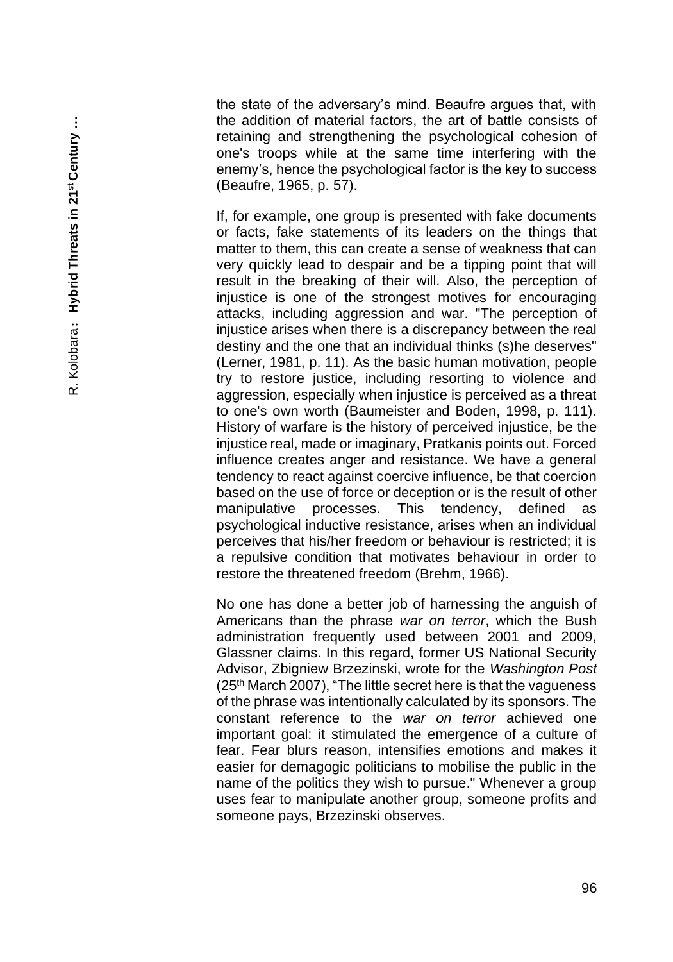the state of the adversary's mind. Beaufre argues that, with the addition of material factors, the art of battle consists of retaining and strengthening the psychological cohesion of one's troops while at the same time interfering with the enemy's, hence the psychological factor is the key to success (Beaufre, 1965, p. 57).

If, for example, one group is presented with fake documents or facts, fake statements of its leaders on the things that matter to them, this can create a sense of weakness that can very quickly lead to despair and be a tipping point that will result in the breaking of their will. Also, the perception of injustice is one of the strongest motives for encouraging attacks, including aggression and war. "The perception of injustice arises when there is a discrepancy between the real destiny and the one that an individual thinks (s)he deserves" (Lerner, 1981, p. 11). As the basic human motivation, people try to restore justice, including resorting to violence and aggression, especially when injustice is perceived as a threat to one's own worth (Baumeister and Boden, 1998, p. 111). History of warfare is the history of perceived injustice, be the injustice real, made or imaginary, Pratkanis points out. Forced influence creates anger and resistance. We have a general tendency to react against coercive influence, be that coercion based on the use of force or deception or is the result of other manipulative processes. This tendency, defined as psychological inductive resistance, arises when an individual perceives that his/her freedom or behaviour is restricted; it is a repulsive condition that motivates behaviour in order to restore the threatened freedom (Brehm, 1966).

No one has done a better job of harnessing the anguish of Americans than the phrase *war on terror*, which the Bush administration frequently used between 2001 and 2009, Glassner claims. In this regard, former US National Security Advisor, Zbigniew Brzezinski, wrote for the *Washington Post*  $(25<sup>th</sup>$  March 2007), "The little secret here is that the vagueness of the phrase was intentionally calculated by its sponsors. The constant reference to the *war on terror* achieved one important goal: it stimulated the emergence of a culture of fear. Fear blurs reason, intensifies emotions and makes it easier for demagogic politicians to mobilise the public in the name of the politics they wish to pursue." Whenever a group uses fear to manipulate another group, someone profits and someone pays, Brzezinski observes.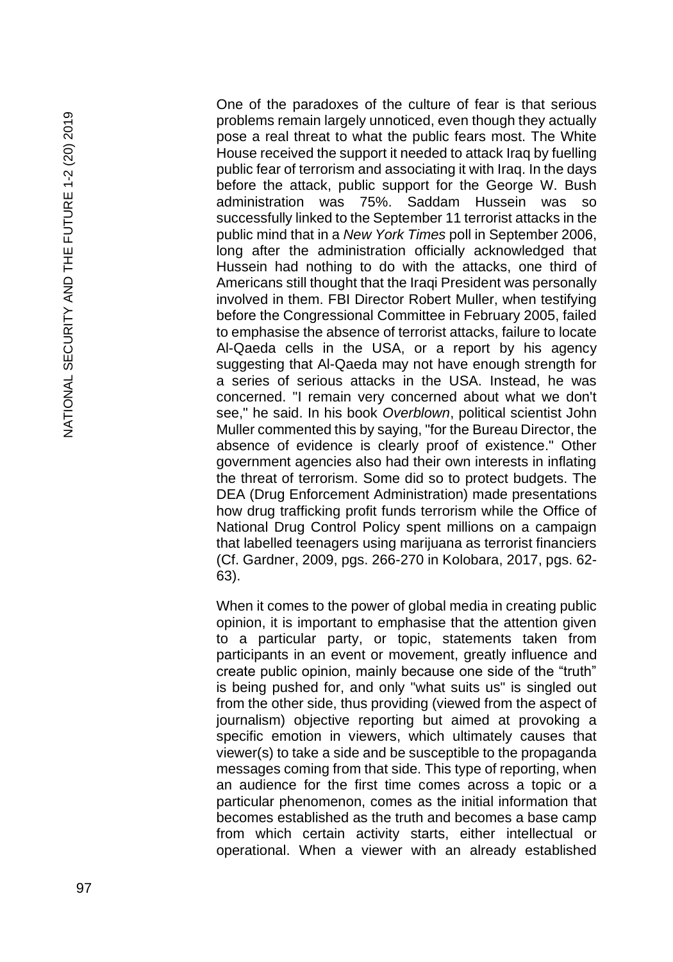NATIONAL SECURITY AND THE FUTURE 1-2 (20) 2019 NATIONAL SECURITY AND THE FUTURE 1-2 (20) 2019

One of the paradoxes of the culture of fear is that serious problems remain largely unnoticed, even though they actually pose a real threat to what the public fears most. The White House received the support it needed to attack Iraq by fuelling public fear of terrorism and associating it with Iraq. In the days before the attack, public support for the George W. Bush administration was 75%. Saddam Hussein was successfully linked to the September 11 terrorist attacks in the public mind that in a *New York Times* poll in September 2006, long after the administration officially acknowledged that Hussein had nothing to do with the attacks, one third of Americans still thought that the Iraqi President was personally involved in them. FBI Director Robert Muller, when testifying before the Congressional Committee in February 2005, failed to emphasise the absence of terrorist attacks, failure to locate Al -Qaeda cells in the USA, or a report by his agency suggesting that Al -Qaeda may not have enough strength for a series of serious attacks in the USA. Instead, he was concerned. "I remain very concerned about what we don't see," he said. In his book *Overblown*, political scientist John Muller commented this by saying, "for the Bureau Director, the absence of evidence is clearly proof of existence." Other government agencies also had their own interests in inflating the threat of terrorism. Some did so to protect budgets. The DEA (Drug Enforcement Administration) made presentations how drug trafficking profit funds terrorism while the Office of National Drug Control Policy spent millions on a campaign that labelled teenagers using marijuana as terrorist financiers (Cf. Gardner, 2009, pgs. 266 -270 in Kolobara, 2017, pgs. 62 - 63).

When it comes to the power of global media in creating public opinion, it is important to emphasise that the attention given to a particular party, or topic, statements taken from participants in an event or movement, greatly influence and create public opinion, mainly because one side of the "truth" is being pushed for, and only "what suits us" is singled out from the other side, thus providing (viewed from the aspect of journalism) objective reporting but aimed at provoking a specific emotion in viewers, which ultimately causes that viewer(s) to take a side and be susceptible to the propaganda messages coming from that side. This type of reporting, when an audience for the first time comes across a topic or a particular phenomenon, comes as the initial information that becomes established as the truth and becomes a base camp from which certain activity starts, either intellectual or operational. When a viewer with an already established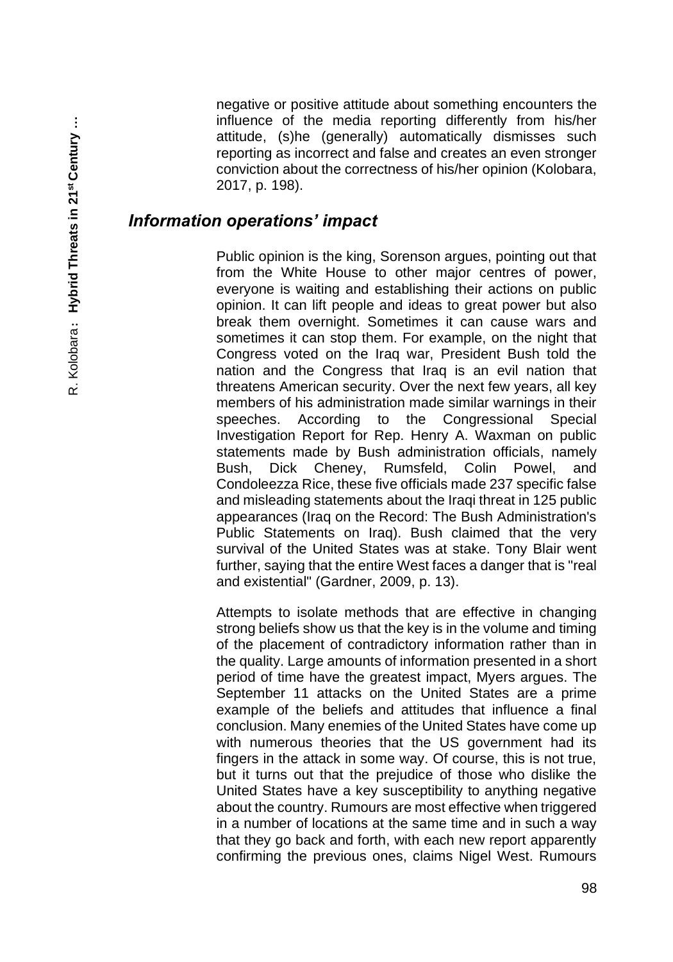negative or positive attitude about something encounters the influence of the media reporting differently from his/her attitude, (s)he (generally) automatically dismisses such reporting as incorrect and false and creates an even stronger conviction about the correctness of his/her opinion (Kolobara, 2017, p. 198).

#### *Information operations' impact*

Public opinion is the king, Sorenson argues, pointing out that from the White House to other major centres of power, everyone is waiting and establishing their actions on public opinion. It can lift people and ideas to great power but also break them overnight. Sometimes it can cause wars and sometimes it can stop them. For example, on the night that Congress voted on the Iraq war, President Bush told the nation and the Congress that Iraq is an evil nation that threatens American security. Over the next few years, all key members of his administration made similar warnings in their speeches. According to the Congressional Special Investigation Report for Rep. Henry A. Waxman on public statements made by Bush administration officials, namely Bush, Dick Cheney, Rumsfeld, Colin Powel, and Condoleezza Rice, these five officials made 237 specific false and misleading statements about the Iraqi threat in 125 public appearances (Iraq on the Record: The Bush Administration's Public Statements on Iraq). Bush claimed that the very survival of the United States was at stake. Tony Blair went further, saying that the entire West faces a danger that is "real and existential" (Gardner, 2009, p. 13).

Attempts to isolate methods that are effective in changing strong beliefs show us that the key is in the volume and timing of the placement of contradictory information rather than in the quality. Large amounts of information presented in a short period of time have the greatest impact, Myers argues. The September 11 attacks on the United States are a prime example of the beliefs and attitudes that influence a final conclusion. Many enemies of the United States have come up with numerous theories that the US government had its fingers in the attack in some way. Of course, this is not true, but it turns out that the prejudice of those who dislike the United States have a key susceptibility to anything negative about the country. Rumours are most effective when triggered in a number of locations at the same time and in such a way that they go back and forth, with each new report apparently confirming the previous ones, claims Nigel West. Rumours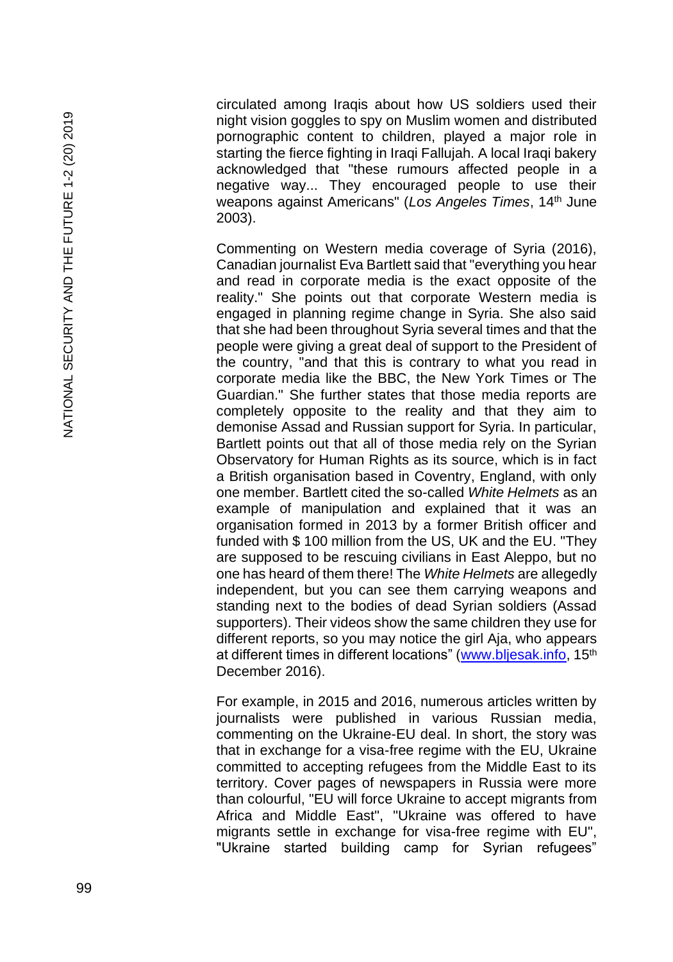circulated among Iraqis about how US soldiers used their night vision goggles to spy on Muslim women and distributed pornographic content to children, played a major role in starting the fierce fighting in Iraqi Fallujah. A local Iraqi bakery acknowledged that "these rumours affected people in a negative way... They encouraged people to use their weapons against Americans" (*Los Angeles Times*, 14th June 2003).

Commenting on Western media coverage of Syria (2016), Canadian journalist Eva Bartlett said that "everything you hear and read in corporate media is the exact opposite of the reality." She points out that corporate Western media is engaged in planning regime change in Syria. She also said that she had been throughout Syria several times and that the people were giving a great deal of support to the President of the country, "and that this is contrary to what you read in corporate media like the BBC, the New York Times or The Guardian." She further states that those media reports are completely opposite to the reality and that they aim to demonise Assad and Russian support for Syria. In particular, Bartlett points out that all of those media rely on the Syrian Observatory for Human Rights as its source, which is in fact a British organisation based in Coventry, England, with only one member. Bartlett cited the so -called *White Helmets* as an example of manipulation and explained that it was an organisation formed in 2013 by a former British officer and funded with \$ 100 million from the US, UK and the EU. "They are supposed to be rescuing civilians in East Aleppo, but no one has heard of them there! The *White Helmets* are allegedly independent, but you can see them carrying weapons and standing next to the bodies of dead Syrian soldiers (Assad supporters). Their videos show the same children they use for different reports, so you may notice the girl Aja, who appears at different times in different locations" [\(www.bljesak.info,](http://www.bljesak.info/) 15<sup>th</sup> December 2016).

For example, in 2015 and 2016, numerous articles written by journalists were published in various Russian media, commenting on the Ukraine -EU deal. In short, the story was that in exchange for a visa -free regime with the EU, Ukraine committed to accepting refugees from the Middle East to its territory. Cover pages of newspapers in Russia were more than colourful, "EU will force Ukraine to accept migrants from Africa and Middle East", "Ukraine was offered to have migrants settle in exchange for visa -free regime with EU", "Ukraine started building camp for Syrian refugees"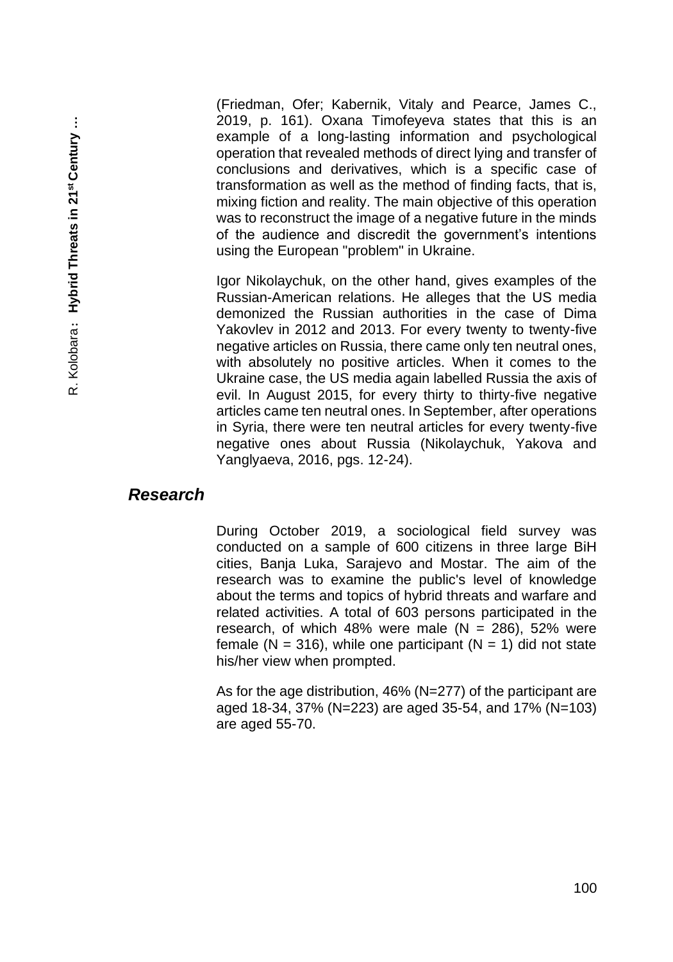(Friedman, Ofer; Kabernik, Vitaly and Pearce, James C., 2019, p. 161). Oxana Timofeyeva states that this is an example of a long-lasting information and psychological operation that revealed methods of direct lying and transfer of conclusions and derivatives, which is a specific case of transformation as well as the method of finding facts, that is, mixing fiction and reality. The main objective of this operation was to reconstruct the image of a negative future in the minds of the audience and discredit the government's intentions using the European "problem" in Ukraine.

Igor Nikolaychuk, on the other hand, gives examples of the Russian-American relations. He alleges that the US media demonized the Russian authorities in the case of Dima Yakovlev in 2012 and 2013. For every twenty to twenty-five negative articles on Russia, there came only ten neutral ones, with absolutely no positive articles. When it comes to the Ukraine case, the US media again labelled Russia the axis of evil. In August 2015, for every thirty to thirty-five negative articles came ten neutral ones. In September, after operations in Syria, there were ten neutral articles for every twenty-five negative ones about Russia (Nikolaychuk, Yakova and Yanglyaeva, 2016, pgs. 12-24).

#### *Research*

During October 2019, a sociological field survey was conducted on a sample of 600 citizens in three large BiH cities, Banja Luka, Sarajevo and Mostar. The aim of the research was to examine the public's level of knowledge about the terms and topics of hybrid threats and warfare and related activities. A total of 603 persons participated in the research, of which 48% were male  $(N = 286)$ , 52% were female (N = 316), while one participant (N = 1) did not state his/her view when prompted.

As for the age distribution, 46% (N=277) of the participant are aged 18-34, 37% (N=223) are aged 35-54, and 17% (N=103) are aged 55-70.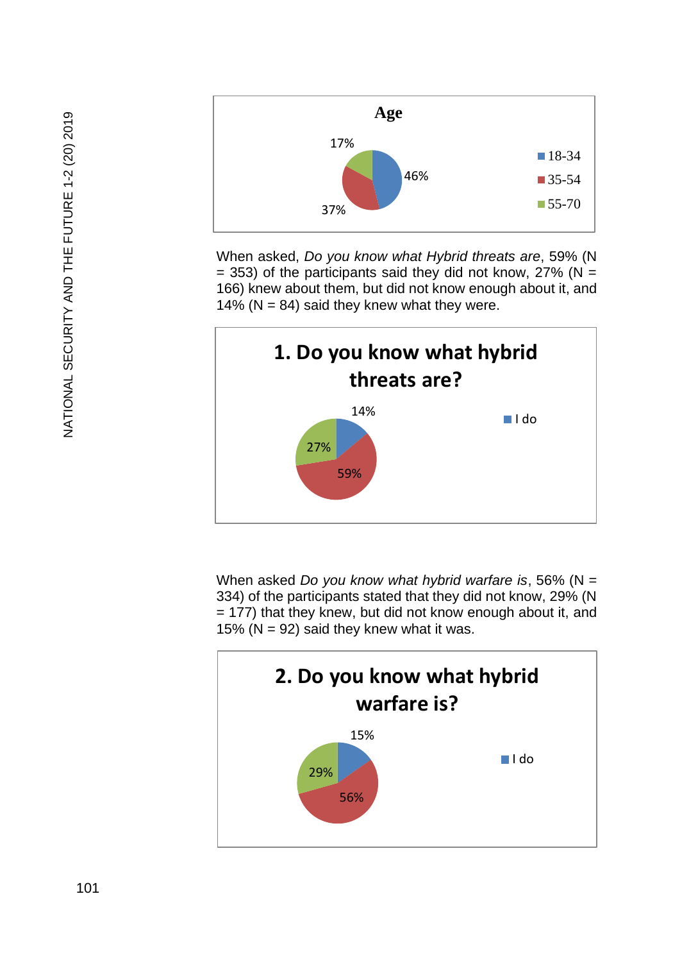

When asked, *Do you know what Hybrid threats are*, 59% (N  $= 353$ ) of the participants said they did not know, 27% (N = 166) knew about them, but did not know enough about it, and 14% ( $N = 84$ ) said they knew what they were.



When asked *Do you know what hybrid warfare is*, 56% (N = 334) of the participants stated that they did not know, 29% (N = 177) that they knew, but did not know enough about it, and 15% ( $N = 92$ ) said they knew what it was.

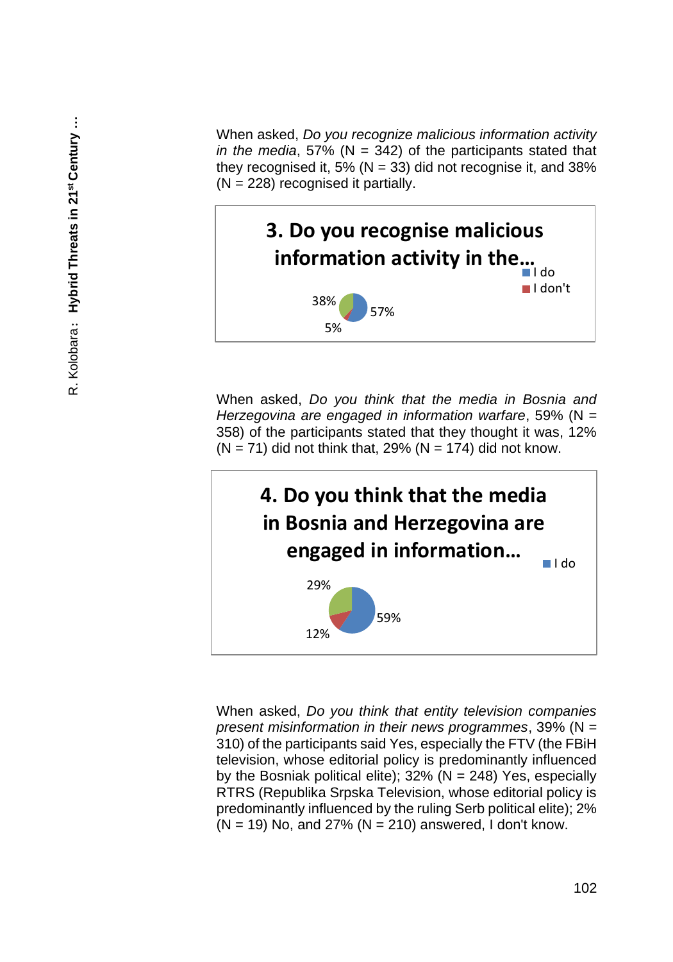When asked, *Do you recognize malicious information activity in the media*, 57% (N = 342) of the participants stated that they recognised it, 5% ( $N = 33$ ) did not recognise it, and 38%  $(N = 228)$  recognised it partially.



When asked, *Do you think that the media in Bosnia and Herzegovina are engaged in information warfare*, 59% (N = 358) of the participants stated that they thought it was, 12%  $(N = 71)$  did not think that, 29%  $(N = 174)$  did not know.



When asked, *Do you think that entity television companies present misinformation in their news programmes*, 39% (N = 310) of the participants said Yes, especially the FTV (the FBiH television, whose editorial policy is predominantly influenced by the Bosniak political elite);  $32\%$  (N = 248) Yes, especially RTRS (Republika Srpska Television, whose editorial policy is predominantly influenced by the ruling Serb political elite); 2%  $(N = 19)$  No, and 27%  $(N = 210)$  answered, I don't know.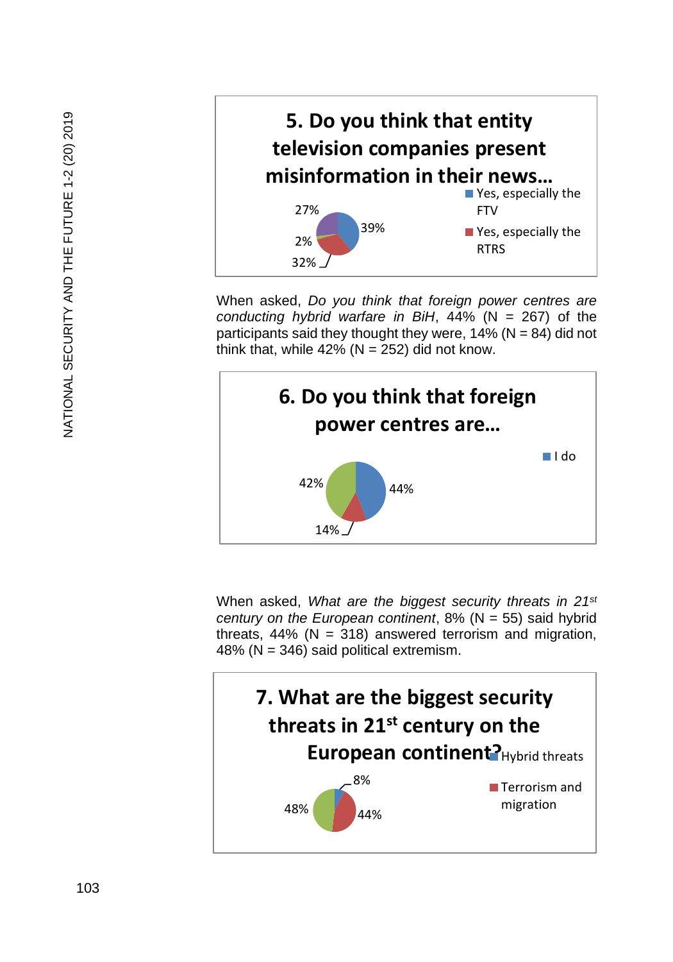

When asked, *Do you think that foreign power centres are conducting hybrid warfare in BiH*, 44% (N = 267) of the participants said they thought they were,  $14\%$  (N = 84) did not think that, while  $42\%$  (N = 252) did not know.

■ Yes, especially the

Yes, especially the

**FTV** 

RTRS

39%



When asked, *What are the biggest security threats in 21st century on the European continent*, 8% (N = 55) said hybrid threats,  $44\%$  (N = 318) answered terrorism and migration, 48% (N = 346) said political extremism.

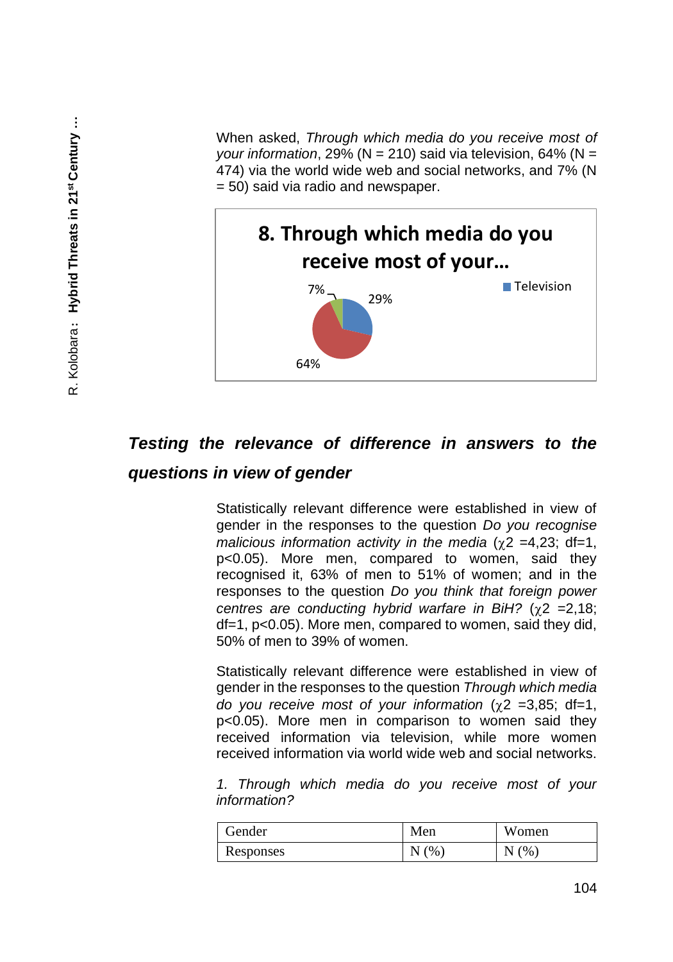When asked, *Through which media do you receive most of your information*, 29% (N = 210) said via television, 64% (N = 474) via the world wide web and social networks, and 7% (N = 50) said via radio and newspaper.



# *Testing the relevance of difference in answers to the questions in view of gender*

Statistically relevant difference were established in view of gender in the responses to the question *Do you recognise malicious information activity in the media* ( $\gamma$ 2 =4,23; df=1, p<0.05). More men, compared to women, said they recognised it, 63% of men to 51% of women; and in the responses to the question *Do you think that foreign power centres are conducting hybrid warfare in BiH?* ( $\chi$ 2 = 2,18; df=1, p<0.05). More men, compared to women, said they did, 50% of men to 39% of women.

Statistically relevant difference were established in view of gender in the responses to the question *Through which media do you receive most of your information*  $(y2 = 3.85$ ; df=1, p<0.05). More men in comparison to women said they received information via television, while more women received information via world wide web and social networks.

*1. Through which media do you receive most of your information?*

| Gender    | Men  | Women |
|-----------|------|-------|
| Responses | N(%) | N(%)  |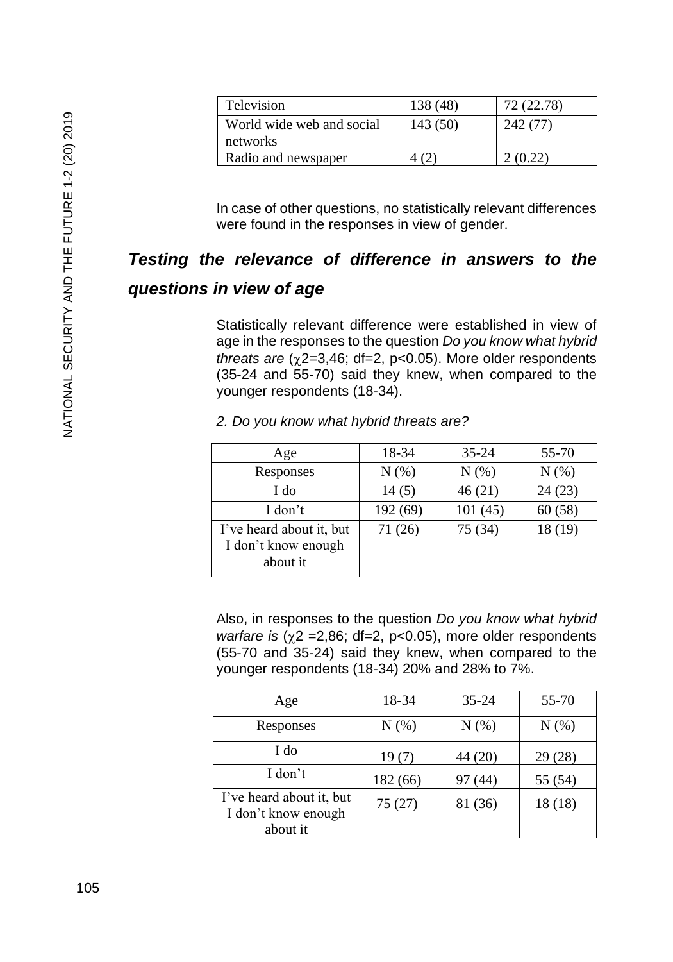| Television                | 138 (48) | 72 (22.78) |
|---------------------------|----------|------------|
| World wide web and social | 143 (50) | 242 (77)   |
| networks                  |          |            |
| Radio and newspaper       |          |            |

In case of other questions, no statistically relevant differences were found in the responses in view of gender.

## *Testing the relevance of difference in answers to the*

#### *questions in view of age*

Statistically relevant difference were established in view of age in the responses to the question *Do you know what hybrid threats are*  $(\gamma 2=3,46; df=2, p<0.05)$ *. More older respondents* (35-24 and 55-70) said they knew, when compared to the younger respondents (18-34).

| Age                                                         | 18-34    | $35 - 24$ | 55-70   |
|-------------------------------------------------------------|----------|-----------|---------|
| Responses                                                   | N(% )    | $N(\%)$   | $N(\%)$ |
| I do                                                        | 14(5)    | 46(21)    | 24(23)  |
| I don't                                                     | 192 (69) | 101(45)   | 60(58)  |
| I've heard about it, but<br>I don't know enough<br>about it | 71 (26)  | 75 (34)   | 18 (19) |

*2. Do you know what hybrid threats are?*

Also, in responses to the question *Do you know what hybrid warfare is* ( $\gamma$ 2 = 2,86; df = 2, p < 0.05), more older respondents (55-70 and 35-24) said they knew, when compared to the younger respondents (18-34) 20% and 28% to 7%.

| Age                                                         | 18-34    | $35 - 24$ | $55 - 70$ |
|-------------------------------------------------------------|----------|-----------|-----------|
| Responses                                                   | $N(\%)$  | $N(\%)$   | $N(\%)$   |
| I do                                                        | 19(7)    | 44 (20)   | 29(28)    |
| I don't                                                     | 182 (66) | 97 (44)   | 55 (54)   |
| I've heard about it, but<br>I don't know enough<br>about it | 75(27)   | 81 (36)   | 18 (18)   |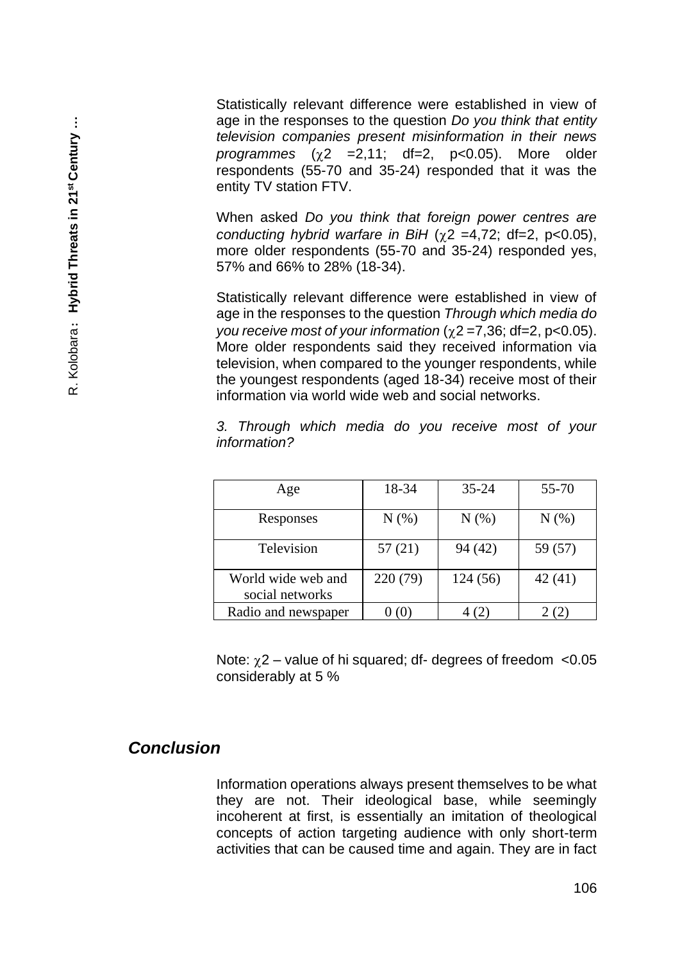Statistically relevant difference were established in view of age in the responses to the question *Do you think that entity television companies present misinformation in their news*   $programmes (y2 = 2.11; df=2, p<0.05)$ . More older respondents (55-70 and 35-24) responded that it was the entity TV station FTV.

When asked *Do you think that foreign power centres are conducting hybrid warfare in BiH* ( $\chi$ 2 =4,72; df=2, p<0.05), more older respondents (55-70 and 35-24) responded yes, 57% and 66% to 28% (18-34).

Statistically relevant difference were established in view of age in the responses to the question *Through which media do you receive most of your information* ( $\chi$ 2 = 7,36; df = 2, p < 0.05). More older respondents said they received information via television, when compared to the younger respondents, while the youngest respondents (aged 18-34) receive most of their information via world wide web and social networks.

*3. Through which media do you receive most of your information?*

| Age                                   | 18-34    | $35 - 24$ | 55-70   |
|---------------------------------------|----------|-----------|---------|
| Responses                             | $N(\%)$  | $N(\%)$   | $N(\%)$ |
| Television                            | 57 (21)  | 94 (42)   | 59 (57) |
| World wide web and<br>social networks | 220 (79) | 124(56)   | 42(41)  |
| Radio and newspaper                   |          | 4 (2      |         |

Note:  $\chi$ 2 – value of hi squared; df- degrees of freedom <0.05 considerably at 5 %

#### *Conclusion*

Information operations always present themselves to be what they are not. Their ideological base, while seemingly incoherent at first, is essentially an imitation of theological concepts of action targeting audience with only short-term activities that can be caused time and again. They are in fact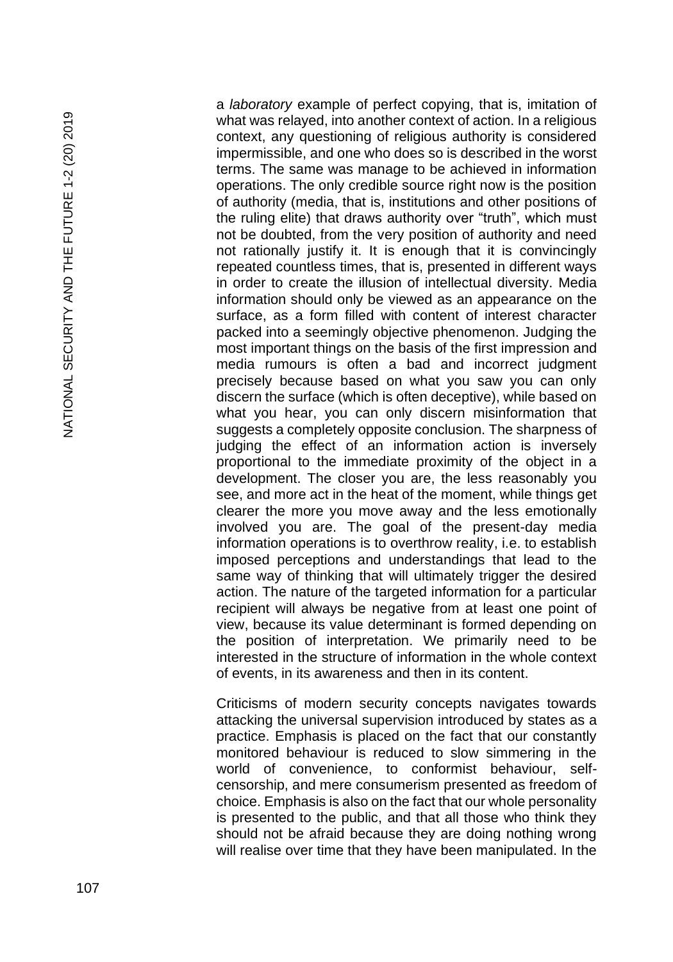NATIONAL SECURITY AND THE FUTURE 1-2 (20) 2019 NATIONAL SECURITY AND THE FUTURE 1-2 (20) 2019

a *laboratory* example of perfect copying, that is, imitation of what was relayed, into another context of action. In a religious context, any questioning of religious authority is considered impermissible, and one who does so is described in the worst terms. The same was manage to be achieved in information operations. The only credible source right now is the position of authority (media, that is, institutions and other positions of the ruling elite) that draws authority over "truth", which must not be doubted, from the very position of authority and need not rationally justify it. It is enough that it is convincingly repeated countless times, that is, presented in different ways in order to create the illusion of intellectual diversity. Media information should only be viewed as an appearance on the surface, as a form filled with content of interest character packed into a seemingly objective phenomenon. Judging the most important things on the basis of the first impression and media rumours is often a bad and incorrect judgment precisely because based on what you saw you can only discern the surface (which is often deceptive), while based on what you hear, you can only discern misinformation that suggests a completely opposite conclusion. The sharpness of judging the effect of an information action is inversely proportional to the immediate proximity of the object in a development. The closer you are, the less reasonably you see, and more act in the heat of the moment, while things get clearer the more you move away and the less emotionally involved you are. The goal of the present -day media information operations is to overthrow reality, i.e. to establish imposed perceptions and understandings that lead to the same way of thinking that will ultimately trigger the desired action. The nature of the targeted information for a particular recipient will always be negative from at least one point of view, because its value determinant is formed depending on the position of interpretation. We primarily need to be interested in the structure of information in the whole context of events, in its awareness and then in its content.

Criticisms of modern security concepts navigates towards attacking the universal supervision introduced by states as a practice. Emphasis is placed on the fact that our constantly monitored behaviour is reduced to slow simmering in the world of convenience, to conformist behaviour, selfcensorship, and mere consumerism presented as freedom of choice. Emphasis is also on the fact that our whole personality is presented to the public, and that all those who think they should not be afraid because they are doing nothing wrong will realise over time that they have been manipulated. In the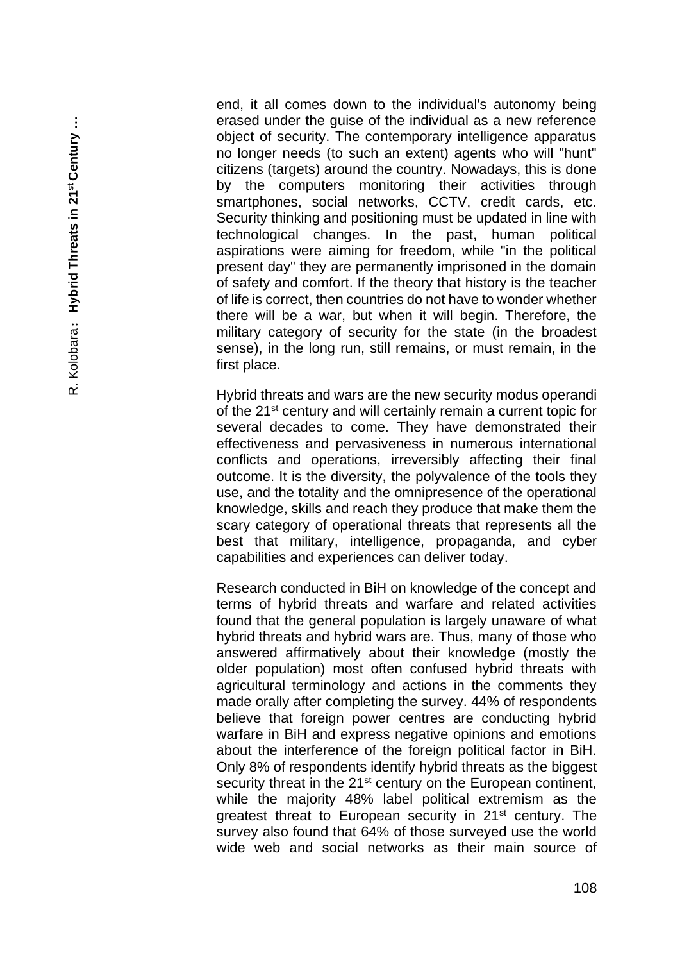end, it all comes down to the individual's autonomy being erased under the guise of the individual as a new reference object of security. The contemporary intelligence apparatus no longer needs (to such an extent) agents who will "hunt" citizens (targets) around the country. Nowadays, this is done by the computers monitoring their activities through smartphones, social networks, CCTV, credit cards, etc. Security thinking and positioning must be updated in line with technological changes. In the past, human political aspirations were aiming for freedom, while "in the political present day" they are permanently imprisoned in the domain of safety and comfort. If the theory that history is the teacher of life is correct, then countries do not have to wonder whether there will be a war, but when it will begin. Therefore, the military category of security for the state (in the broadest sense), in the long run, still remains, or must remain, in the first place.

Hybrid threats and wars are the new security modus operandi of the 21st century and will certainly remain a current topic for several decades to come. They have demonstrated their effectiveness and pervasiveness in numerous international conflicts and operations, irreversibly affecting their final outcome. It is the diversity, the polyvalence of the tools they use, and the totality and the omnipresence of the operational knowledge, skills and reach they produce that make them the scary category of operational threats that represents all the best that military, intelligence, propaganda, and cyber capabilities and experiences can deliver today.

Research conducted in BiH on knowledge of the concept and terms of hybrid threats and warfare and related activities found that the general population is largely unaware of what hybrid threats and hybrid wars are. Thus, many of those who answered affirmatively about their knowledge (mostly the older population) most often confused hybrid threats with agricultural terminology and actions in the comments they made orally after completing the survey. 44% of respondents believe that foreign power centres are conducting hybrid warfare in BiH and express negative opinions and emotions about the interference of the foreign political factor in BiH. Only 8% of respondents identify hybrid threats as the biggest security threat in the 21<sup>st</sup> century on the European continent, while the majority 48% label political extremism as the greatest threat to European security in 21st century. The survey also found that 64% of those surveyed use the world wide web and social networks as their main source of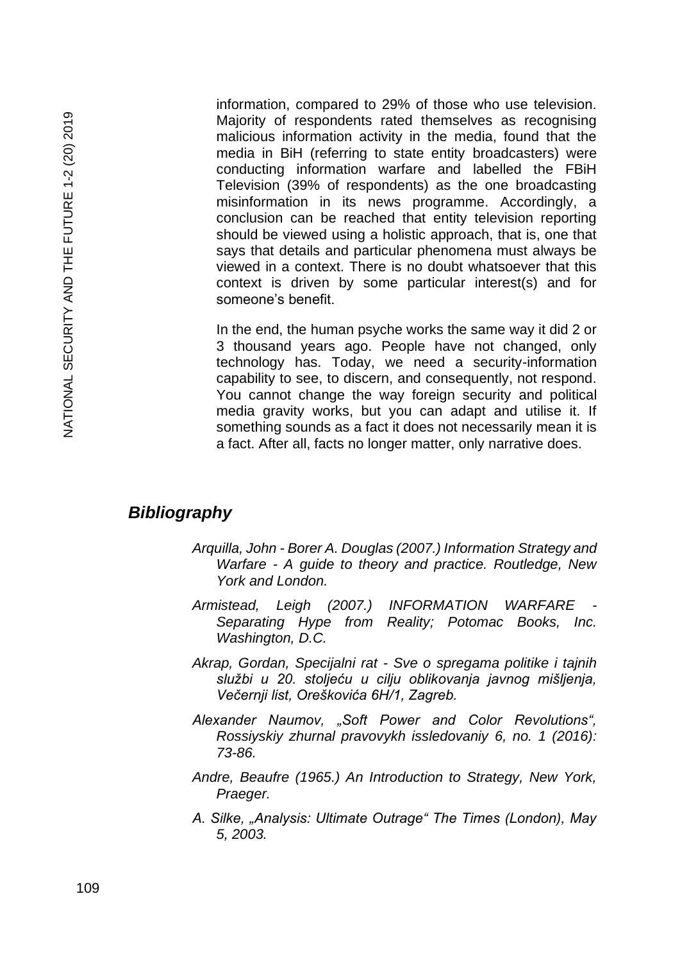information, compared to 29% of those who use television. Majority of respondents rated themselves as recognising malicious information activity in the media, found that the media in BiH (referring to state entity broadcasters) were conducting information warfare and labelled the FBiH Television (39% of respondents) as the one broadcasting misinformation in its news programme. Accordingly, a conclusion can be reached that entity television reporting should be viewed using a holistic approach, that is, one that says that details and particular phenomena must always be viewed in a context. There is no doubt whatsoever that this context is driven by some particular interest(s) and for someone's benefit.

In the end, the human psyche works the same way it did 2 or 3 thousand years ago. People have not changed, only technology has. Today, we need a security-information capability to see, to discern, and consequently, not respond. You cannot change the way foreign security and political media gravity works, but you can adapt and utilise it. If something sounds as a fact it does not necessarily mean it is a fact. After all, facts no longer matter, only narrative does.

#### *Bibliography*

- *Arquilla, John - Borer A. Douglas (2007.) Information Strategy and Warfare - A guide to theory and practice. Routledge, New York and London.*
- *Armistead, Leigh (2007.) INFORMATION WARFARE - Separating Hype from Reality; Potomac Books, Inc. Washington, D.C.*
- *Akrap, Gordan, Specijalni rat - Sve o spregama politike i tajnih službi u 20. stoljeću u cilju oblikovanja javnog mišljenja, Večernji list, Oreškovića 6H/1, Zagreb.*
- *Alexander Naumov, "Soft Power and Color Revolutions", Rossiyskiy zhurnal pravovykh issledovaniy 6, no. 1 (2016): 73-86.*
- *Andre, Beaufre (1965.) An Introduction to Strategy, New York, Praeger.*
- *A. Silke, "Analysis: Ultimate Outrage" The Times (London), May 5, 2003.*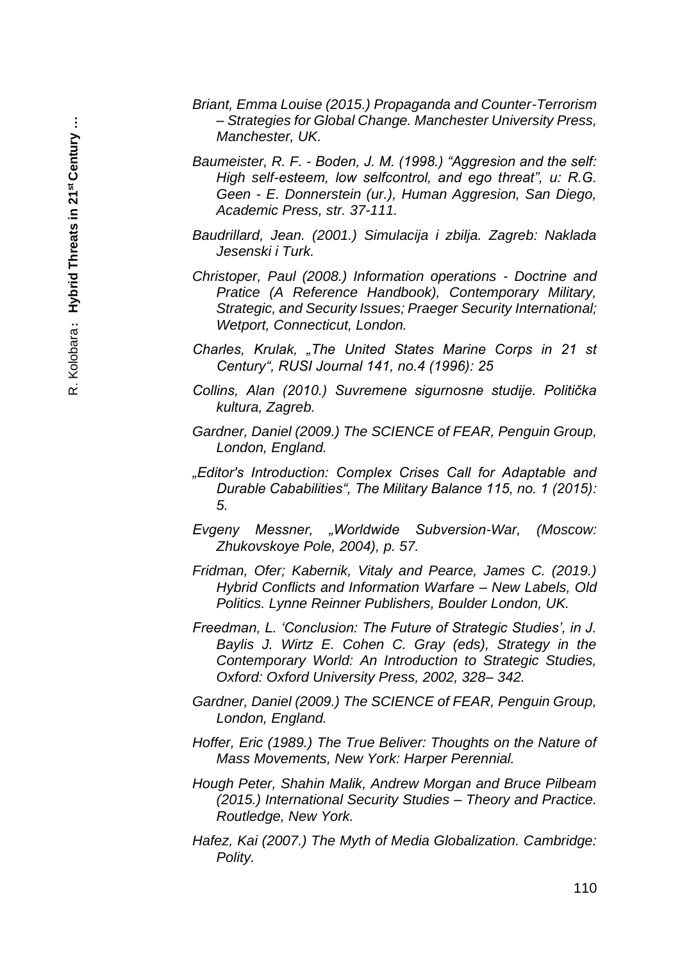- *Briant, Emma Louise (2015.) Propaganda and Counter-Terrorism – Strategies for Global Change. Manchester University Press, Manchester, UK.*
- *Baumeister, R. F. - Boden, J. M. (1998.) "Aggresion and the self: High self-esteem, low selfcontrol, and ego threat", u: R.G. Geen - E. Donnerstein (ur.), Human Aggresion, San Diego, Academic Press, str. 37-111.*
- *Baudrillard, Jean. (2001.) Simulacija i zbilja. Zagreb: Naklada Jesenski i Turk.*
- *Christoper, Paul (2008.) Information operations - Doctrine and Pratice (A Reference Handbook), Contemporary Military, Strategic, and Security Issues; Praeger Security International; Wetport, Connecticut, London.*
- *Charles, Krulak, "The United States Marine Corps in 21 st Century", RUSI Journal 141, no.4 (1996): 25*
- *Collins, Alan (2010.) Suvremene sigurnosne studije. Politička kultura, Zagreb.*
- *Gardner, Daniel (2009.) The SCIENCE of FEAR, Penguin Group, London, England.*
- *"Editor's Introduction: Complex Crises Call for Adaptable and Durable Cababilities", The Military Balance 115, no. 1 (2015): 5.*
- *Evgeny Messner, "Worldwide Subversion-War, (Moscow: Zhukovskoye Pole, 2004), p. 57.*
- *Fridman, Ofer; Kabernik, Vitaly and Pearce, James C. (2019.) Hybrid Conflicts and Information Warfare – New Labels, Old Politics. Lynne Reinner Publishers, Boulder London, UK.*
- *Freedman, L. 'Conclusion: The Future of Strategic Studies', in J. Baylis J. Wirtz E. Cohen C. Gray (eds), Strategy in the Contemporary World: An Introduction to Strategic Studies, Oxford: Oxford University Press, 2002, 328– 342.*
- *Gardner, Daniel (2009.) The SCIENCE of FEAR, Penguin Group, London, England.*
- *Hoffer, Eric (1989.) The True Beliver: Thoughts on the Nature of Mass Movements, New York: Harper Perennial.*
- *Hough Peter, Shahin Malik, Andrew Morgan and Bruce Pilbeam (2015.) International Security Studies – Theory and Practice. Routledge, New York.*
- *Hafez, Kai (2007.) The Myth of Media Globalization. Cambridge: Polity.*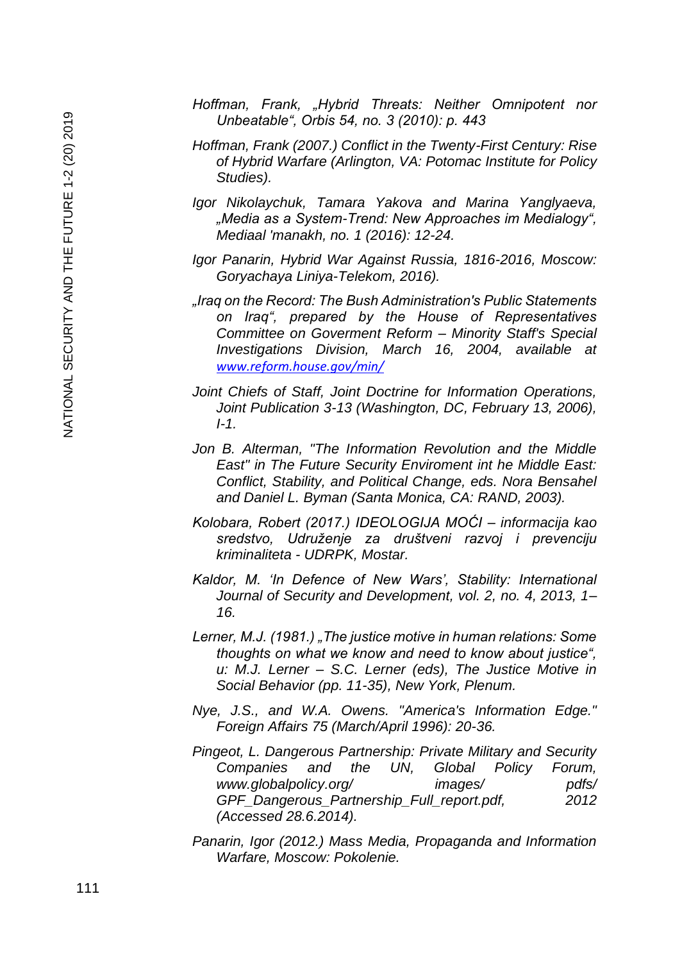- *Hoffman, Frank, "Hybrid Threats: Neither Omnipotent nor Unbeatable", Orbis 54, no. 3 (2010): p. 443*
- *Hoffman, Frank (2007.) Conflict in the Twenty-First Century: Rise of Hybrid Warfare (Arlington, VA: Potomac Institute for Policy Studies).*
- *Igor Nikolaychuk, Tamara Yakova and Marina Yanglyaeva, "Media as a System-Trend: New Approaches im Medialogy", Mediaal 'manakh, no. 1 (2016): 12-24.*
- *Igor Panarin, Hybrid War Against Russia, 1816-2016, Moscow: Goryachaya Liniya-Telekom, 2016).*
- *"Iraq on the Record: The Bush Administration's Public Statements on Iraq", prepared by the House of Representatives Committee on Goverment Reform – Minority Staff's Special Investigations Division, March 16, 2004, available at [www.reform.house.gov/min/](http://www.reform.house.gov/min/)*
- *Joint Chiefs of Staff, Joint Doctrine for Information Operations, Joint Publication 3-13 (Washington, DC, February 13, 2006), I-1.*
- *Jon B. Alterman, "The Information Revolution and the Middle East" in The Future Security Enviroment int he Middle East: Conflict, Stability, and Political Change, eds. Nora Bensahel and Daniel L. Byman (Santa Monica, CA: RAND, 2003).*
- *Kolobara, Robert (2017.) IDEOLOGIJA MOĆI – informacija kao sredstvo, Udruženje za društveni razvoj i prevenciju kriminaliteta - UDRPK, Mostar.*
- *Kaldor, M. 'In Defence of New Wars', Stability: International Journal of Security and Development, vol. 2, no. 4, 2013, 1– 16.*
- *Lerner, M.J. (1981.) "The justice motive in human relations: Some thoughts on what we know and need to know about justice", u: M.J. Lerner – S.C. Lerner (eds), The Justice Motive in Social Behavior (pp. 11-35), New York, Plenum.*
- *Nye, J.S., and W.A. Owens. "America's Information Edge." Foreign Affairs 75 (March/April 1996): 20-36.*
- *Pingeot, L. Dangerous Partnership: Private Military and Security Companies and the UN, Global Policy Forum, www.globalpolicy.org/ images/ pdfs/ GPF\_Dangerous\_Partnership\_Full\_report.pdf, 2012 (Accessed 28.6.2014).*
- *Panarin, Igor (2012.) Mass Media, Propaganda and Information Warfare, Moscow: Pokolenie.*